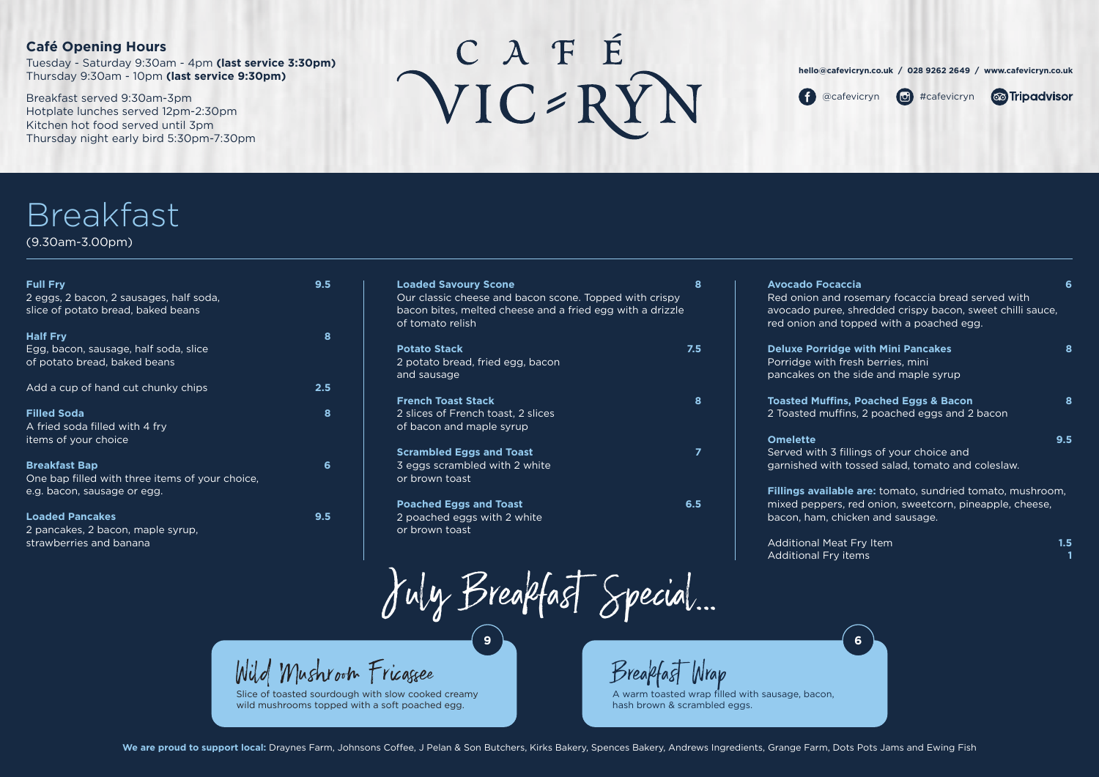| <b>Full Fry</b><br>2 eggs, 2 bacon, 2 sausages, half soda,<br>slice of potato bread, baked beans       | 9.5     |  |
|--------------------------------------------------------------------------------------------------------|---------|--|
| <b>Half Fry</b><br>Egg, bacon, sausage, half soda, slice<br>of potato bread, baked beans               | 8       |  |
| Add a cup of hand cut chunky chips                                                                     | $2.5\,$ |  |
| <b>Filled Soda</b><br>A fried soda filled with 4 fry<br>items of your choice                           | 8       |  |
| <b>Breakfast Bap</b><br>One bap filled with three items of your choice,<br>e.g. bacon, sausage or egg. | 6       |  |
| <b>Loaded Pancakes</b><br>2 pancakes, 2 bacon, maple syrup,<br>strawberries and banana                 | 9.5     |  |

**Omelette 9.5** Served with garnished w

**Fillings avai** mixed peppe bacon, ham,

Additional M **Additional F** 

| <b>Loaded Savoury Scone</b>                                                                                         | 8   |
|---------------------------------------------------------------------------------------------------------------------|-----|
| Our classic cheese and bacon scone. Topped with crispy<br>bacon bites, melted cheese and a fried egg with a drizzle |     |
| of tomato relish                                                                                                    |     |
| <b>Potato Stack</b>                                                                                                 | 7.5 |
| 2 potato bread, fried egg, bacon                                                                                    |     |
| and sausage                                                                                                         |     |
| <b>French Toast Stack</b>                                                                                           | 8   |
| 2 slices of French toast, 2 slices                                                                                  |     |
| of bacon and maple syrup                                                                                            |     |
| <b>Scrambled Eggs and Toast</b>                                                                                     |     |
| 3 eggs scrambled with 2 white                                                                                       |     |

**Avocado Fo** Red onion a avocado pur

**Deluxe Porri** Porridge with pancakes or

red onion ar

**Toasted Muf** 2 Toasted m

or brown toast

**Poached Eggs and Toast 6.5**

 $\frac{1}{2}$  Mild Mushroom Fricaggee Breakfast Wrap Slice of toasted sourdough with slow cooked creamy

wild mushrooms topped with a soft poached egg.

2 poached eggs with 2 white

or brown toast

# **Café Opening Hours**

Tuesday - Saturday 9:30am - 4pm **(last service 3:30pm)** Thursday 9:30am - 10pm **(last service 9:30pm)**

Breakfast served 9:30am-3pm Hotplate lunches served 12pm-2:30pm Kitchen hot food served until 3pm Thursday night early bird 5:30pm-7:30pm

# CAFÉ<br>VIC-RYN



# **Breakfast**

(9.30am-3.00pm)

July Breakfast Special...



<sup>1</sup> @cafevicryn **i** #cafevicryn





| caccia<br>nd rosemary focaccia bread served with<br>ee, shredded crispy bacon, sweet chilli sauce,<br>d topped with a poached egg. | 6   |
|------------------------------------------------------------------------------------------------------------------------------------|-----|
| dge with Mini Pancakes<br>h fresh berries, mini<br>the side and maple syrup                                                        | 8   |
| fins, Poached Eggs & Bacon<br>uffins, 2 poached eggs and 2 bacon                                                                   | 8   |
| 3 fillings of your choice and<br>ith tossed salad, tomato and coleslaw.                                                            | 9.5 |
| able are: tomato, sundried tomato, mushroom,<br>ers, red onion, sweetcorn, pineapple, cheese,<br>chicken and sausage.              |     |

| eat Fry Item | 1.5 |
|--------------|-----|
| ry items     |     |

A warm toasted wrap filled with sausage, bacon, hash brown & scrambled eggs.